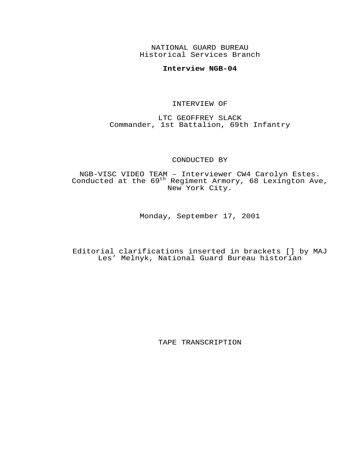NATIONAL GUARD BUREAU Historical Services Branch

## **Interview NGB-04**

## INTERVIEW OF

LTC GEOFFREY SLACK Commander, 1st Battalion, 69th Infantry

## CONDUCTED BY

NGB-VISC VIDEO TEAM – Interviewer CW4 Carolyn Estes. Conducted at the 69<sup>th</sup> Regiment Armory, 68 Lexington Ave, New York City.

Monday, September 17, 2001

Editorial clarifications inserted in brackets [] by MAJ Les' Melnyk, National Guard Bureau historian

TAPE TRANSCRIPTION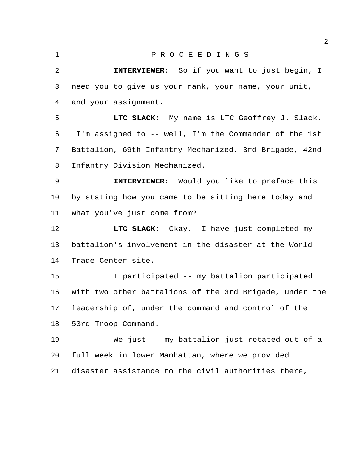## P R O C E E D I N G S

 **INTERVIEWER**: So if you want to just begin, I need you to give us your rank, your name, your unit, and your assignment.

 **LTC SLACK**: My name is LTC Geoffrey J. Slack. I'm assigned to -- well, I'm the Commander of the 1st Battalion, 69th Infantry Mechanized, 3rd Brigade, 42nd Infantry Division Mechanized.

 **INTERVIEWER**: Would you like to preface this by stating how you came to be sitting here today and what you've just come from?

**LTC SLACK:** Okay. I have just completed my battalion's involvement in the disaster at the World Trade Center site.

 I participated -- my battalion participated with two other battalions of the 3rd Brigade, under the leadership of, under the command and control of the 53rd Troop Command.

19 We just -- my battalion just rotated out of a full week in lower Manhattan, where we provided disaster assistance to the civil authorities there,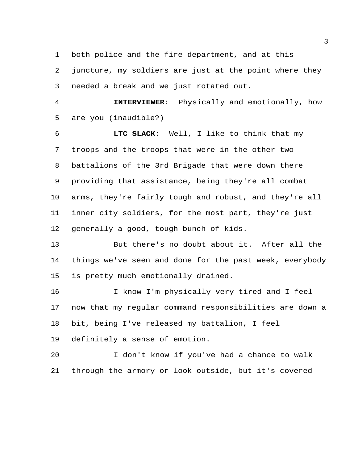both police and the fire department, and at this

 juncture, my soldiers are just at the point where they needed a break and we just rotated out.

 **INTERVIEWER**: Physically and emotionally, how are you (inaudible?)

 **LTC SLACK**: Well, I like to think that my troops and the troops that were in the other two battalions of the 3rd Brigade that were down there providing that assistance, being they're all combat arms, they're fairly tough and robust, and they're all inner city soldiers, for the most part, they're just generally a good, tough bunch of kids.

 But there's no doubt about it. After all the things we've seen and done for the past week, everybody is pretty much emotionally drained.

 I know I'm physically very tired and I feel now that my regular command responsibilities are down a bit, being I've released my battalion, I feel

definitely a sense of emotion.

 I don't know if you've had a chance to walk through the armory or look outside, but it's covered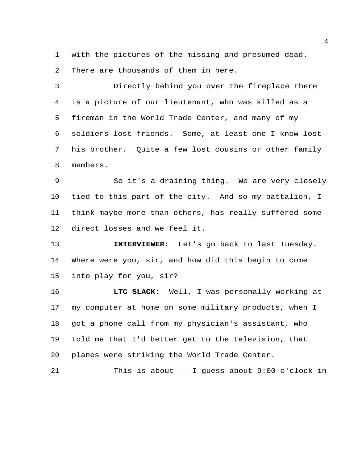with the pictures of the missing and presumed dead. There are thousands of them in here.

 Directly behind you over the fireplace there is a picture of our lieutenant, who was killed as a fireman in the World Trade Center, and many of my soldiers lost friends. Some, at least one I know lost his brother. Quite a few lost cousins or other family members.

 So it's a draining thing. We are very closely tied to this part of the city. And so my battalion, I think maybe more than others, has really suffered some direct losses and we feel it.

 **INTERVIEWER**: Let's go back to last Tuesday. Where were you, sir, and how did this begin to come into play for you, sir?

 **LTC SLACK**: Well, I was personally working at my computer at home on some military products, when I got a phone call from my physician's assistant, who told me that I'd better get to the television, that planes were striking the World Trade Center.

```
21 This is about -- I guess about 9:00 o'clock in
```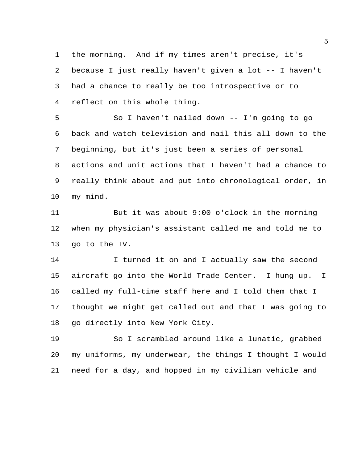the morning. And if my times aren't precise, it's because I just really haven't given a lot -- I haven't had a chance to really be too introspective or to reflect on this whole thing.

 So I haven't nailed down -- I'm going to go back and watch television and nail this all down to the beginning, but it's just been a series of personal actions and unit actions that I haven't had a chance to really think about and put into chronological order, in my mind.

 But it was about 9:00 o'clock in the morning when my physician's assistant called me and told me to go to the TV.

14 I turned it on and I actually saw the second aircraft go into the World Trade Center. I hung up. I called my full-time staff here and I told them that I thought we might get called out and that I was going to go directly into New York City.

 So I scrambled around like a lunatic, grabbed my uniforms, my underwear, the things I thought I would need for a day, and hopped in my civilian vehicle and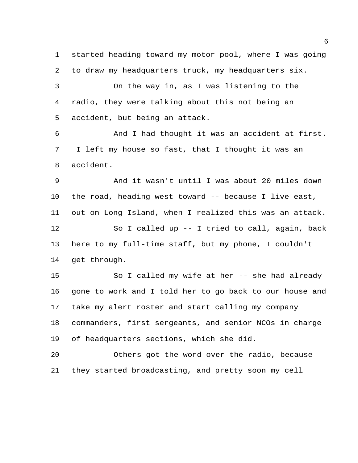started heading toward my motor pool, where I was going to draw my headquarters truck, my headquarters six.

 On the way in, as I was listening to the radio, they were talking about this not being an accident, but being an attack.

 And I had thought it was an accident at first. I left my house so fast, that I thought it was an accident.

 And it wasn't until I was about 20 miles down the road, heading west toward -- because I live east, out on Long Island, when I realized this was an attack. So I called up -- I tried to call, again, back here to my full-time staff, but my phone, I couldn't get through.

 So I called my wife at her -- she had already gone to work and I told her to go back to our house and take my alert roster and start calling my company commanders, first sergeants, and senior NCOs in charge of headquarters sections, which she did.

 Others got the word over the radio, because they started broadcasting, and pretty soon my cell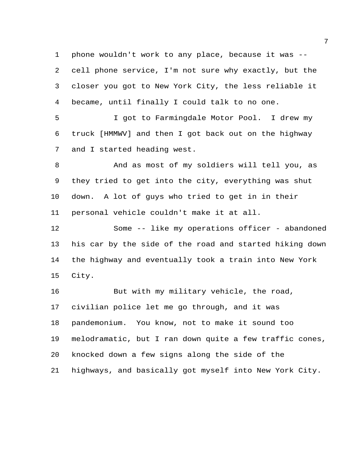phone wouldn't work to any place, because it was -- cell phone service, I'm not sure why exactly, but the closer you got to New York City, the less reliable it became, until finally I could talk to no one.

 I got to Farmingdale Motor Pool. I drew my truck [HMMWV] and then I got back out on the highway and I started heading west.

 And as most of my soldiers will tell you, as they tried to get into the city, everything was shut down. A lot of guys who tried to get in in their personal vehicle couldn't make it at all.

 Some -- like my operations officer - abandoned his car by the side of the road and started hiking down the highway and eventually took a train into New York City.

 But with my military vehicle, the road, civilian police let me go through, and it was pandemonium. You know, not to make it sound too melodramatic, but I ran down quite a few traffic cones, knocked down a few signs along the side of the highways, and basically got myself into New York City.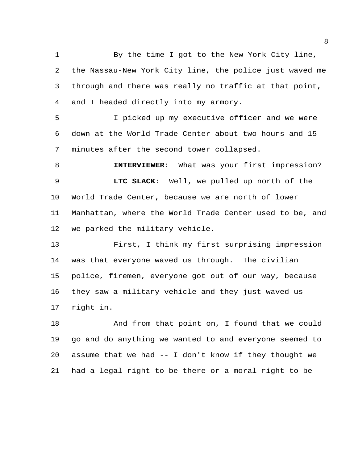By the time I got to the New York City line, the Nassau-New York City line, the police just waved me through and there was really no traffic at that point, and I headed directly into my armory.

 I picked up my executive officer and we were down at the World Trade Center about two hours and 15 minutes after the second tower collapsed.

 **INTERVIEWER**: What was your first impression? **LTC SLACK**: Well, we pulled up north of the World Trade Center, because we are north of lower Manhattan, where the World Trade Center used to be, and we parked the military vehicle.

 First, I think my first surprising impression was that everyone waved us through. The civilian police, firemen, everyone got out of our way, because they saw a military vehicle and they just waved us right in.

18 And from that point on, I found that we could go and do anything we wanted to and everyone seemed to assume that we had -- I don't know if they thought we had a legal right to be there or a moral right to be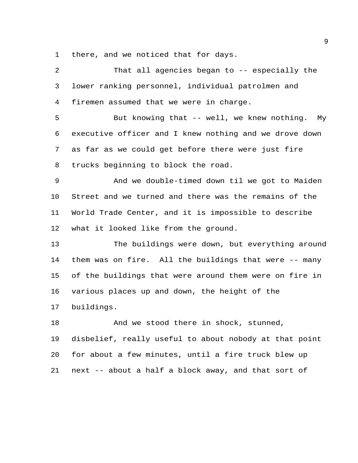there, and we noticed that for days.

| $\overline{a}$ | That all agencies began to -- especially the           |
|----------------|--------------------------------------------------------|
| 3              | lower ranking personnel, individual patrolmen and      |
| $\overline{4}$ | firemen assumed that we were in charge.                |
| 5              | But knowing that -- well, we knew nothing. My          |
| 6              | executive officer and I knew nothing and we drove down |
| 7              | as far as we could get before there were just fire     |
| 8              | trucks beginning to block the road.                    |
| 9              | And we double-timed down til we got to Maiden          |
| $10 \,$        | Street and we turned and there was the remains of the  |
| 11             | World Trade Center, and it is impossible to describe   |
| 12             | what it looked like from the ground.                   |
| 13             | The buildings were down, but everything around         |
| 14             | them was on fire. All the buildings that were -- many  |
| 15             | of the buildings that were around them were on fire in |
| 16             | various places up and down, the height of the          |
| 17             | buildings.                                             |
| 18             | And we stood there in shock, stunned,                  |
| 19             | disbelief, really useful to about nobody at that point |
| 20             | for about a few minutes, until a fire truck blew up    |
| 21             | next -- about a half a block away, and that sort of    |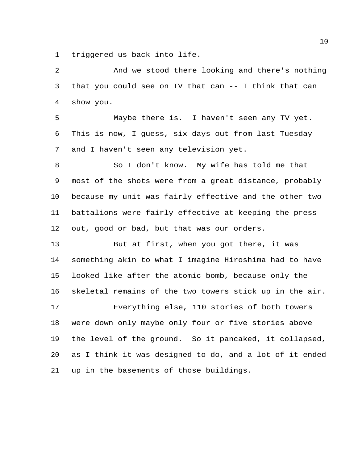triggered us back into life.

 And we stood there looking and there's nothing that you could see on TV that can -- I think that can show you.

 Maybe there is. I haven't seen any TV yet. This is now, I guess, six days out from last Tuesday and I haven't seen any television yet.

 So I don't know. My wife has told me that most of the shots were from a great distance, probably because my unit was fairly effective and the other two battalions were fairly effective at keeping the press out, good or bad, but that was our orders.

 But at first, when you got there, it was something akin to what I imagine Hiroshima had to have looked like after the atomic bomb, because only the skeletal remains of the two towers stick up in the air. Everything else, 110 stories of both towers were down only maybe only four or five stories above the level of the ground. So it pancaked, it collapsed,

 as I think it was designed to do, and a lot of it ended up in the basements of those buildings.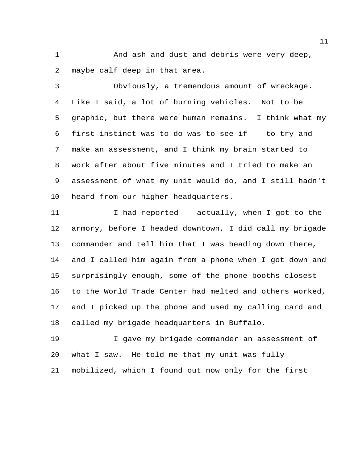1 And ash and dust and debris were very deep, maybe calf deep in that area.

 Obviously, a tremendous amount of wreckage. Like I said, a lot of burning vehicles. Not to be graphic, but there were human remains. I think what my first instinct was to do was to see if -- to try and make an assessment, and I think my brain started to work after about five minutes and I tried to make an assessment of what my unit would do, and I still hadn't heard from our higher headquarters.

11 I had reported -- actually, when I got to the armory, before I headed downtown, I did call my brigade commander and tell him that I was heading down there, and I called him again from a phone when I got down and surprisingly enough, some of the phone booths closest to the World Trade Center had melted and others worked, and I picked up the phone and used my calling card and called my brigade headquarters in Buffalo.

 I gave my brigade commander an assessment of what I saw. He told me that my unit was fully mobilized, which I found out now only for the first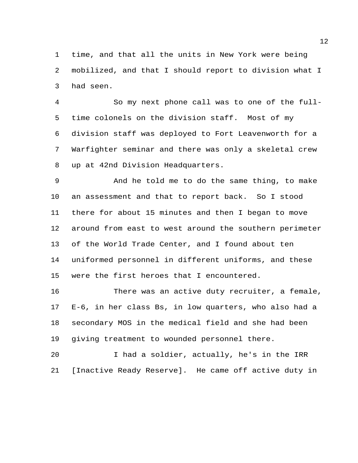time, and that all the units in New York were being mobilized, and that I should report to division what I had seen.

 So my next phone call was to one of the full- time colonels on the division staff. Most of my division staff was deployed to Fort Leavenworth for a Warfighter seminar and there was only a skeletal crew up at 42nd Division Headquarters.

 And he told me to do the same thing, to make an assessment and that to report back. So I stood there for about 15 minutes and then I began to move around from east to west around the southern perimeter of the World Trade Center, and I found about ten uniformed personnel in different uniforms, and these were the first heroes that I encountered.

 There was an active duty recruiter, a female, E-6, in her class Bs, in low quarters, who also had a secondary MOS in the medical field and she had been giving treatment to wounded personnel there.

 I had a soldier, actually, he's in the IRR [Inactive Ready Reserve]. He came off active duty in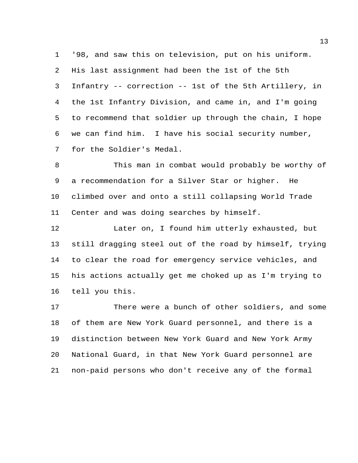'98, and saw this on television, put on his uniform. His last assignment had been the 1st of the 5th Infantry -- correction -- 1st of the 5th Artillery, in the 1st Infantry Division, and came in, and I'm going to recommend that soldier up through the chain, I hope we can find him. I have his social security number, for the Soldier's Medal.

 This man in combat would probably be worthy of a recommendation for a Silver Star or higher. He climbed over and onto a still collapsing World Trade Center and was doing searches by himself.

 Later on, I found him utterly exhausted, but still dragging steel out of the road by himself, trying to clear the road for emergency service vehicles, and his actions actually get me choked up as I'm trying to tell you this.

 There were a bunch of other soldiers, and some of them are New York Guard personnel, and there is a distinction between New York Guard and New York Army National Guard, in that New York Guard personnel are non-paid persons who don't receive any of the formal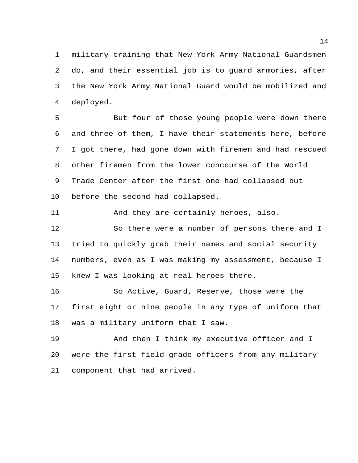military training that New York Army National Guardsmen do, and their essential job is to guard armories, after the New York Army National Guard would be mobilized and deployed.

 But four of those young people were down there and three of them, I have their statements here, before I got there, had gone down with firemen and had rescued other firemen from the lower concourse of the World Trade Center after the first one had collapsed but before the second had collapsed.

And they are certainly heroes, also.

 So there were a number of persons there and I tried to quickly grab their names and social security numbers, even as I was making my assessment, because I knew I was looking at real heroes there.

 So Active, Guard, Reserve, those were the first eight or nine people in any type of uniform that was a military uniform that I saw.

 And then I think my executive officer and I were the first field grade officers from any military component that had arrived.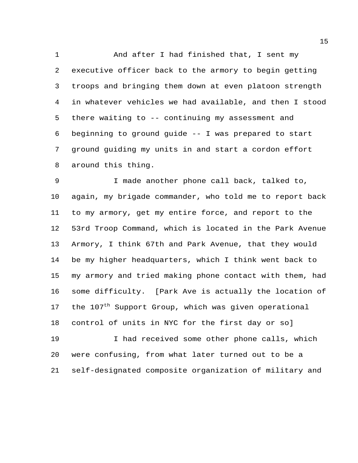1 And after I had finished that, I sent my executive officer back to the armory to begin getting troops and bringing them down at even platoon strength in whatever vehicles we had available, and then I stood there waiting to -- continuing my assessment and beginning to ground guide -- I was prepared to start ground guiding my units in and start a cordon effort around this thing.

 I made another phone call back, talked to, again, my brigade commander, who told me to report back to my armory, get my entire force, and report to the 53rd Troop Command, which is located in the Park Avenue Armory, I think 67th and Park Avenue, that they would be my higher headquarters, which I think went back to my armory and tried making phone contact with them, had some difficulty. [Park Ave is actually the location of 17 the 107<sup>th</sup> Support Group, which was given operational control of units in NYC for the first day or so]

 I had received some other phone calls, which were confusing, from what later turned out to be a self-designated composite organization of military and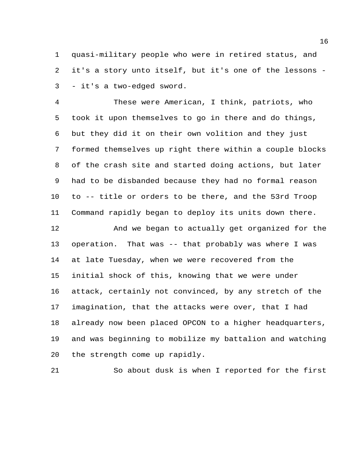quasi-military people who were in retired status, and it's a story unto itself, but it's one of the lessons - - it's a two-edged sword.

 These were American, I think, patriots, who took it upon themselves to go in there and do things, but they did it on their own volition and they just formed themselves up right there within a couple blocks of the crash site and started doing actions, but later had to be disbanded because they had no formal reason to -- title or orders to be there, and the 53rd Troop Command rapidly began to deploy its units down there.

 And we began to actually get organized for the operation. That was -- that probably was where I was at late Tuesday, when we were recovered from the initial shock of this, knowing that we were under attack, certainly not convinced, by any stretch of the imagination, that the attacks were over, that I had already now been placed OPCON to a higher headquarters, and was beginning to mobilize my battalion and watching the strength come up rapidly.

So about dusk is when I reported for the first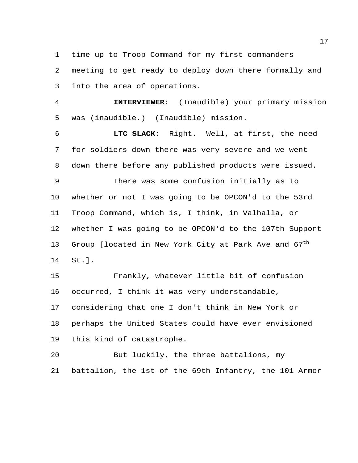time up to Troop Command for my first commanders

 meeting to get ready to deploy down there formally and into the area of operations.

 **INTERVIEWER**: (Inaudible) your primary mission was (inaudible.) (Inaudible) mission.

 **LTC SLACK**: Right. Well, at first, the need for soldiers down there was very severe and we went down there before any published products were issued.

 There was some confusion initially as to whether or not I was going to be OPCON'd to the 53rd Troop Command, which is, I think, in Valhalla, or whether I was going to be OPCON'd to the 107th Support 13 Group [located in New York City at Park Ave and  $67<sup>th</sup>$ St.].

 Frankly, whatever little bit of confusion occurred, I think it was very understandable, considering that one I don't think in New York or perhaps the United States could have ever envisioned this kind of catastrophe.

 But luckily, the three battalions, my battalion, the 1st of the 69th Infantry, the 101 Armor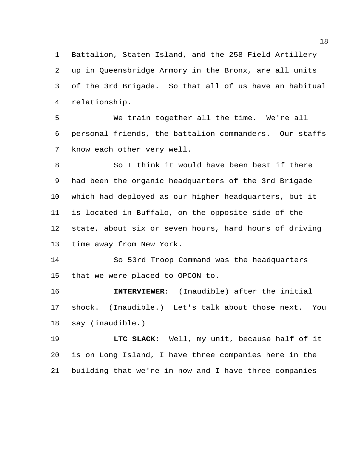Battalion, Staten Island, and the 258 Field Artillery up in Queensbridge Armory in the Bronx, are all units of the 3rd Brigade. So that all of us have an habitual relationship.

 We train together all the time. We're all personal friends, the battalion commanders. Our staffs know each other very well.

 So I think it would have been best if there had been the organic headquarters of the 3rd Brigade which had deployed as our higher headquarters, but it is located in Buffalo, on the opposite side of the state, about six or seven hours, hard hours of driving time away from New York.

 So 53rd Troop Command was the headquarters that we were placed to OPCON to.

 **INTERVIEWER**: (Inaudible) after the initial shock. (Inaudible.) Let's talk about those next. You say (inaudible.)

 **LTC SLACK**: Well, my unit, because half of it is on Long Island, I have three companies here in the building that we're in now and I have three companies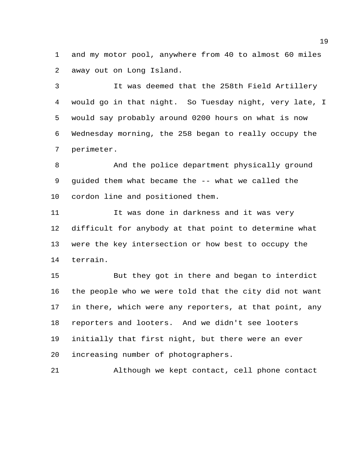and my motor pool, anywhere from 40 to almost 60 miles away out on Long Island.

 It was deemed that the 258th Field Artillery would go in that night. So Tuesday night, very late, I would say probably around 0200 hours on what is now Wednesday morning, the 258 began to really occupy the perimeter.

 And the police department physically ground guided them what became the -- what we called the cordon line and positioned them.

 It was done in darkness and it was very difficult for anybody at that point to determine what were the key intersection or how best to occupy the terrain.

 But they got in there and began to interdict the people who we were told that the city did not want in there, which were any reporters, at that point, any reporters and looters. And we didn't see looters initially that first night, but there were an ever increasing number of photographers.

Although we kept contact, cell phone contact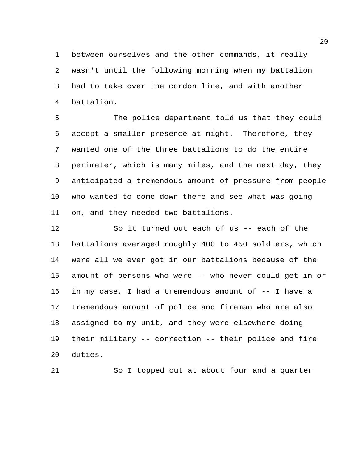between ourselves and the other commands, it really wasn't until the following morning when my battalion had to take over the cordon line, and with another battalion.

 The police department told us that they could accept a smaller presence at night. Therefore, they wanted one of the three battalions to do the entire perimeter, which is many miles, and the next day, they anticipated a tremendous amount of pressure from people who wanted to come down there and see what was going on, and they needed two battalions.

 So it turned out each of us -- each of the battalions averaged roughly 400 to 450 soldiers, which were all we ever got in our battalions because of the amount of persons who were -- who never could get in or in my case, I had a tremendous amount of -- I have a tremendous amount of police and fireman who are also assigned to my unit, and they were elsewhere doing their military -- correction -- their police and fire duties.

So I topped out at about four and a quarter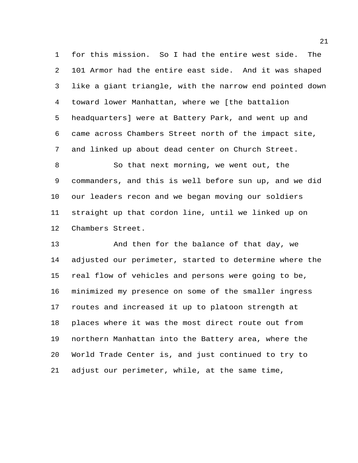for this mission. So I had the entire west side. The 101 Armor had the entire east side. And it was shaped like a giant triangle, with the narrow end pointed down toward lower Manhattan, where we [the battalion headquarters] were at Battery Park, and went up and came across Chambers Street north of the impact site, and linked up about dead center on Church Street.

 So that next morning, we went out, the commanders, and this is well before sun up, and we did our leaders recon and we began moving our soldiers straight up that cordon line, until we linked up on Chambers Street.

13 And then for the balance of that day, we adjusted our perimeter, started to determine where the real flow of vehicles and persons were going to be, minimized my presence on some of the smaller ingress routes and increased it up to platoon strength at places where it was the most direct route out from northern Manhattan into the Battery area, where the World Trade Center is, and just continued to try to adjust our perimeter, while, at the same time,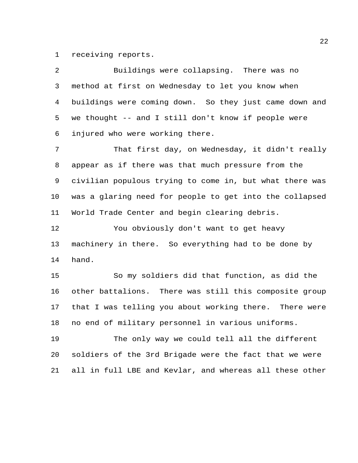receiving reports.

| 2  | Buildings were collapsing. There was no                 |
|----|---------------------------------------------------------|
| 3  | method at first on Wednesday to let you know when       |
| 4  | buildings were coming down. So they just came down and  |
| 5  | we thought -- and I still don't know if people were     |
| 6  | injured who were working there.                         |
| 7  | That first day, on Wednesday, it didn't really          |
| 8  | appear as if there was that much pressure from the      |
| 9  | civilian populous trying to come in, but what there was |
| 10 | was a glaring need for people to get into the collapsed |
| 11 | World Trade Center and begin clearing debris.           |
| 12 | You obviously don't want to get heavy                   |
| 13 | machinery in there. So everything had to be done by     |
| 14 | hand.                                                   |
| 15 | So my soldiers did that function, as did the            |
| 16 | other battalions. There was still this composite group  |
| 17 | that I was telling you about working there. There were  |
| 18 | no end of military personnel in various uniforms.       |
| 19 | The only way we could tell all the different            |
| 20 | soldiers of the 3rd Brigade were the fact that we were  |
| 21 | all in full LBE and Kevlar, and whereas all these other |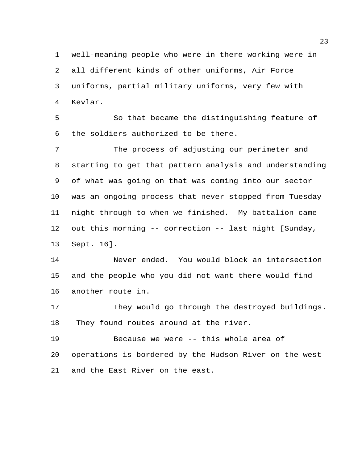well-meaning people who were in there working were in all different kinds of other uniforms, Air Force uniforms, partial military uniforms, very few with Kevlar.

 So that became the distinguishing feature of the soldiers authorized to be there.

 The process of adjusting our perimeter and starting to get that pattern analysis and understanding of what was going on that was coming into our sector was an ongoing process that never stopped from Tuesday night through to when we finished. My battalion came out this morning -- correction -- last night [Sunday, Sept. 16].

 Never ended. You would block an intersection and the people who you did not want there would find another route in.

 They would go through the destroyed buildings. They found routes around at the river.

 Because we were -- this whole area of operations is bordered by the Hudson River on the west and the East River on the east.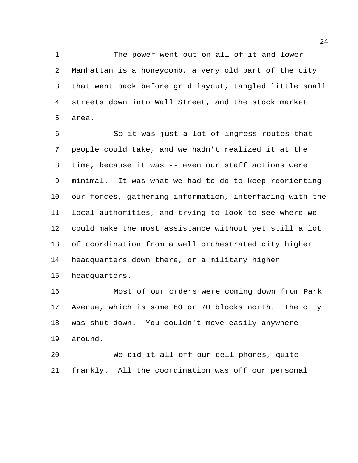1 The power went out on all of it and lower Manhattan is a honeycomb, a very old part of the city that went back before grid layout, tangled little small streets down into Wall Street, and the stock market area.

 So it was just a lot of ingress routes that people could take, and we hadn't realized it at the time, because it was -- even our staff actions were minimal. It was what we had to do to keep reorienting our forces, gathering information, interfacing with the local authorities, and trying to look to see where we could make the most assistance without yet still a lot of coordination from a well orchestrated city higher headquarters down there, or a military higher headquarters.

 Most of our orders were coming down from Park Avenue, which is some 60 or 70 blocks north. The city was shut down. You couldn't move easily anywhere around.

 We did it all off our cell phones, quite frankly. All the coordination was off our personal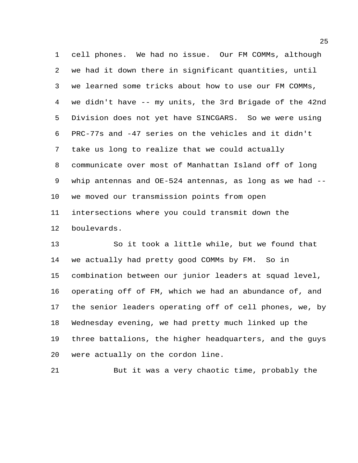cell phones. We had no issue. Our FM COMMs, although we had it down there in significant quantities, until we learned some tricks about how to use our FM COMMs, we didn't have -- my units, the 3rd Brigade of the 42nd Division does not yet have SINCGARS. So we were using PRC-77s and -47 series on the vehicles and it didn't take us long to realize that we could actually communicate over most of Manhattan Island off of long whip antennas and OE-524 antennas, as long as we had -- we moved our transmission points from open intersections where you could transmit down the boulevards.

 So it took a little while, but we found that we actually had pretty good COMMs by FM. So in combination between our junior leaders at squad level, operating off of FM, which we had an abundance of, and the senior leaders operating off of cell phones, we, by Wednesday evening, we had pretty much linked up the three battalions, the higher headquarters, and the guys were actually on the cordon line.

But it was a very chaotic time, probably the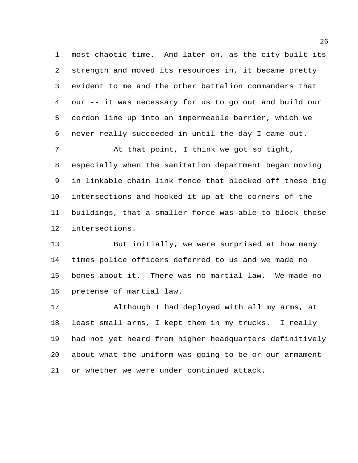most chaotic time. And later on, as the city built its strength and moved its resources in, it became pretty evident to me and the other battalion commanders that our -- it was necessary for us to go out and build our cordon line up into an impermeable barrier, which we never really succeeded in until the day I came out.

 At that point, I think we got so tight, especially when the sanitation department began moving in linkable chain link fence that blocked off these big intersections and hooked it up at the corners of the buildings, that a smaller force was able to block those intersections.

 But initially, we were surprised at how many times police officers deferred to us and we made no bones about it. There was no martial law. We made no pretense of martial law.

 Although I had deployed with all my arms, at least small arms, I kept them in my trucks. I really had not yet heard from higher headquarters definitively about what the uniform was going to be or our armament or whether we were under continued attack.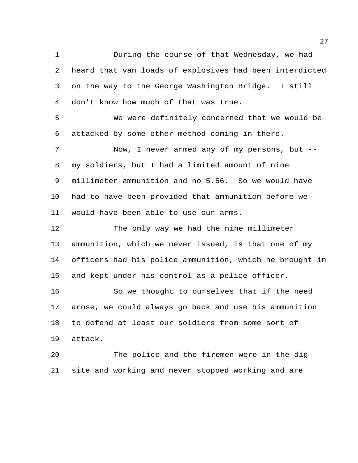During the course of that Wednesday, we had heard that van loads of explosives had been interdicted on the way to the George Washington Bridge. I still don't know how much of that was true.

 We were definitely concerned that we would be attacked by some other method coming in there.

 Now, I never armed any of my persons, but -- my soldiers, but I had a limited amount of nine millimeter ammunition and no 5.56. So we would have had to have been provided that ammunition before we would have been able to use our arms.

 The only way we had the nine millimeter ammunition, which we never issued, is that one of my officers had his police ammunition, which he brought in and kept under his control as a police officer.

16 So we thought to ourselves that if the need arose, we could always go back and use his ammunition to defend at least our soldiers from some sort of attack.

 The police and the firemen were in the dig site and working and never stopped working and are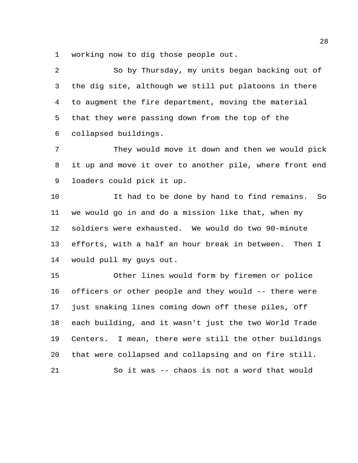working now to dig those people out.

 So by Thursday, my units began backing out of the dig site, although we still put platoons in there to augment the fire department, moving the material that they were passing down from the top of the collapsed buildings.

 They would move it down and then we would pick it up and move it over to another pile, where front end loaders could pick it up.

 It had to be done by hand to find remains. So we would go in and do a mission like that, when my soldiers were exhausted. We would do two 90-minute efforts, with a half an hour break in between. Then I would pull my guys out.

 Other lines would form by firemen or police officers or other people and they would -- there were just snaking lines coming down off these piles, off each building, and it wasn't just the two World Trade Centers. I mean, there were still the other buildings that were collapsed and collapsing and on fire still. So it was -- chaos is not a word that would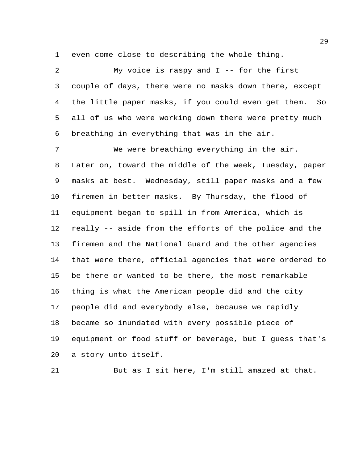even come close to describing the whole thing.

 My voice is raspy and I -- for the first couple of days, there were no masks down there, except the little paper masks, if you could even get them. So all of us who were working down there were pretty much breathing in everything that was in the air. We were breathing everything in the air. Later on, toward the middle of the week, Tuesday, paper masks at best. Wednesday, still paper masks and a few firemen in better masks. By Thursday, the flood of equipment began to spill in from America, which is really -- aside from the efforts of the police and the firemen and the National Guard and the other agencies that were there, official agencies that were ordered to be there or wanted to be there, the most remarkable thing is what the American people did and the city people did and everybody else, because we rapidly became so inundated with every possible piece of equipment or food stuff or beverage, but I guess that's a story unto itself.

But as I sit here, I'm still amazed at that.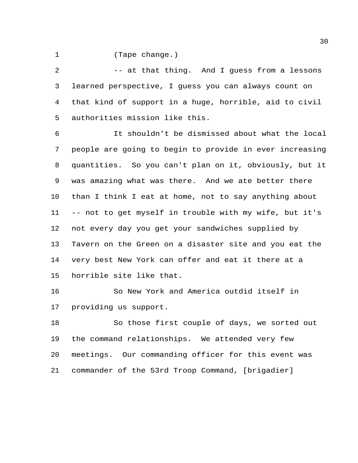(Tape change.)

2 -- at that thing. And I guess from a lessons learned perspective, I guess you can always count on that kind of support in a huge, horrible, aid to civil authorities mission like this.

 It shouldn't be dismissed about what the local people are going to begin to provide in ever increasing quantities. So you can't plan on it, obviously, but it was amazing what was there. And we ate better there than I think I eat at home, not to say anything about -- not to get myself in trouble with my wife, but it's not every day you get your sandwiches supplied by Tavern on the Green on a disaster site and you eat the very best New York can offer and eat it there at a horrible site like that.

 So New York and America outdid itself in providing us support.

 So those first couple of days, we sorted out the command relationships. We attended very few meetings. Our commanding officer for this event was commander of the 53rd Troop Command, [brigadier]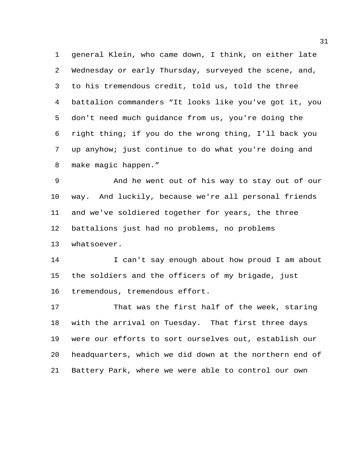general Klein, who came down, I think, on either late Wednesday or early Thursday, surveyed the scene, and, to his tremendous credit, told us, told the three battalion commanders "It looks like you've got it, you don't need much guidance from us, you're doing the right thing; if you do the wrong thing, I'll back you up anyhow; just continue to do what you're doing and make magic happen."

 And he went out of his way to stay out of our way. And luckily, because we're all personal friends and we've soldiered together for years, the three battalions just had no problems, no problems whatsoever.

14 I can't say enough about how proud I am about the soldiers and the officers of my brigade, just tremendous, tremendous effort.

 That was the first half of the week, staring with the arrival on Tuesday. That first three days were our efforts to sort ourselves out, establish our headquarters, which we did down at the northern end of Battery Park, where we were able to control our own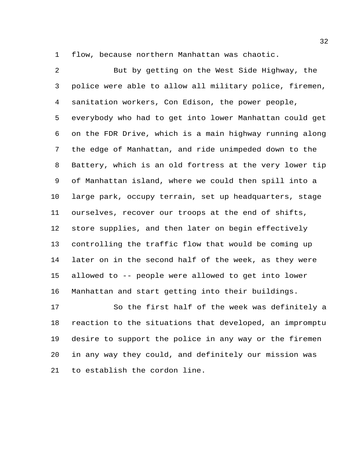flow, because northern Manhattan was chaotic.

 But by getting on the West Side Highway, the police were able to allow all military police, firemen, sanitation workers, Con Edison, the power people, everybody who had to get into lower Manhattan could get on the FDR Drive, which is a main highway running along the edge of Manhattan, and ride unimpeded down to the Battery, which is an old fortress at the very lower tip of Manhattan island, where we could then spill into a large park, occupy terrain, set up headquarters, stage ourselves, recover our troops at the end of shifts, store supplies, and then later on begin effectively controlling the traffic flow that would be coming up later on in the second half of the week, as they were allowed to -- people were allowed to get into lower Manhattan and start getting into their buildings.

 So the first half of the week was definitely a reaction to the situations that developed, an impromptu desire to support the police in any way or the firemen in any way they could, and definitely our mission was to establish the cordon line.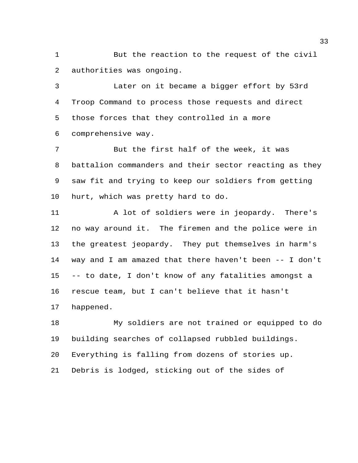But the reaction to the request of the civil authorities was ongoing.

 Later on it became a bigger effort by 53rd Troop Command to process those requests and direct those forces that they controlled in a more comprehensive way.

 But the first half of the week, it was battalion commanders and their sector reacting as they saw fit and trying to keep our soldiers from getting hurt, which was pretty hard to do.

 A lot of soldiers were in jeopardy. There's no way around it. The firemen and the police were in the greatest jeopardy. They put themselves in harm's way and I am amazed that there haven't been -- I don't -- to date, I don't know of any fatalities amongst a rescue team, but I can't believe that it hasn't happened.

 My soldiers are not trained or equipped to do building searches of collapsed rubbled buildings. Everything is falling from dozens of stories up. Debris is lodged, sticking out of the sides of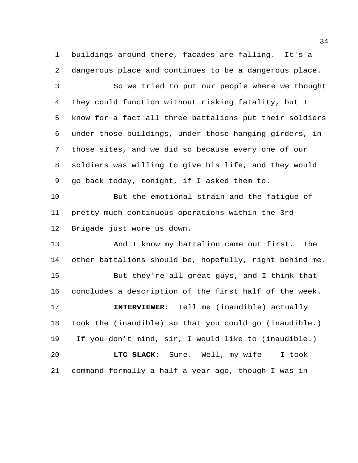buildings around there, facades are falling. It's a dangerous place and continues to be a dangerous place.

 So we tried to put our people where we thought they could function without risking fatality, but I know for a fact all three battalions put their soldiers under those buildings, under those hanging girders, in those sites, and we did so because every one of our soldiers was willing to give his life, and they would go back today, tonight, if I asked them to.

 But the emotional strain and the fatigue of pretty much continuous operations within the 3rd Brigade just wore us down.

13 And I know my battalion came out first. The other battalions should be, hopefully, right behind me. But they're all great guys, and I think that concludes a description of the first half of the week. **INTERVIEWER**: Tell me (inaudible) actually took the (inaudible) so that you could go (inaudible.) If you don't mind, sir, I would like to (inaudible.) **LTC SLACK**: Sure. Well, my wife -- I took command formally a half a year ago, though I was in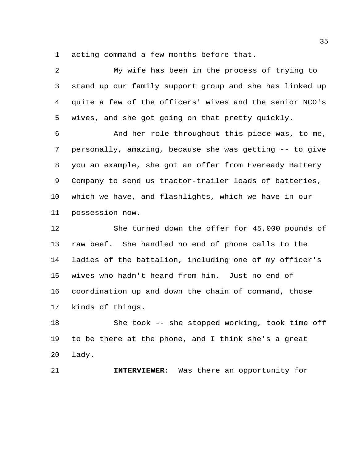acting command a few months before that.

 My wife has been in the process of trying to stand up our family support group and she has linked up quite a few of the officers' wives and the senior NCO's wives, and she got going on that pretty quickly. And her role throughout this piece was, to me, personally, amazing, because she was getting -- to give you an example, she got an offer from Eveready Battery Company to send us tractor-trailer loads of batteries, which we have, and flashlights, which we have in our possession now. She turned down the offer for 45,000 pounds of raw beef. She handled no end of phone calls to the ladies of the battalion, including one of my officer's wives who hadn't heard from him. Just no end of coordination up and down the chain of command, those kinds of things.

 She took -- she stopped working, took time off to be there at the phone, and I think she's a great lady.

**INTERVIEWER**: Was there an opportunity for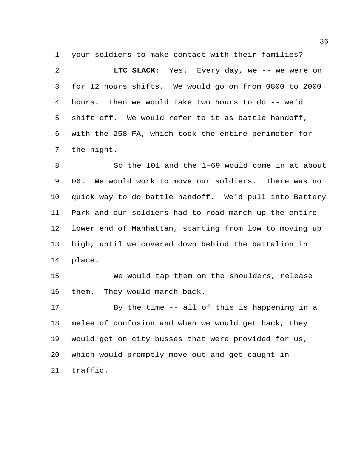your soldiers to make contact with their families?

 **LTC SLACK**: Yes. Every day, we -- we were on for 12 hours shifts. We would go on from 0800 to 2000 hours. Then we would take two hours to do -- we'd shift off. We would refer to it as battle handoff, with the 258 FA, which took the entire perimeter for the night.

 So the 101 and the 1-69 would come in at about 06. We would work to move our soldiers. There was no quick way to do battle handoff. We'd pull into Battery Park and our soldiers had to road march up the entire lower end of Manhattan, starting from low to moving up high, until we covered down behind the battalion in place.

 We would tap them on the shoulders, release them. They would march back.

 By the time -- all of this is happening in a melee of confusion and when we would get back, they would get on city busses that were provided for us, which would promptly move out and get caught in traffic.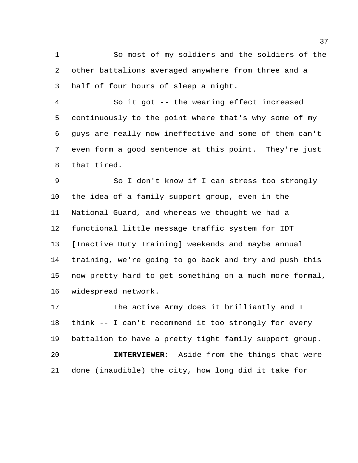So most of my soldiers and the soldiers of the other battalions averaged anywhere from three and a half of four hours of sleep a night.

 So it got -- the wearing effect increased continuously to the point where that's why some of my guys are really now ineffective and some of them can't even form a good sentence at this point. They're just that tired.

 So I don't know if I can stress too strongly the idea of a family support group, even in the National Guard, and whereas we thought we had a functional little message traffic system for IDT [Inactive Duty Training] weekends and maybe annual training, we're going to go back and try and push this now pretty hard to get something on a much more formal, widespread network.

 The active Army does it brilliantly and I think -- I can't recommend it too strongly for every battalion to have a pretty tight family support group. **INTERVIEWER**: Aside from the things that were done (inaudible) the city, how long did it take for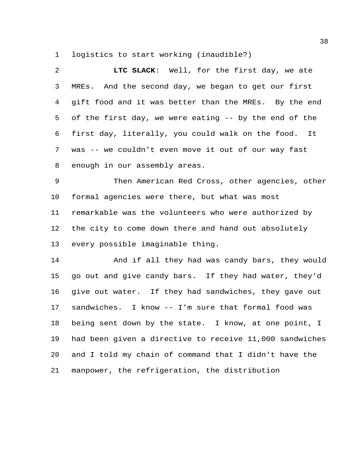logistics to start working (inaudible?)

| 2  | LTC SLACK: Well, for the first day, we ate              |
|----|---------------------------------------------------------|
| 3  | MREs. And the second day, we began to get our first     |
| 4  | gift food and it was better than the MREs. By the end   |
| 5  | of the first day, we were eating -- by the end of the   |
| 6  | first day, literally, you could walk on the food. It    |
| 7  | was -- we couldn't even move it out of our way fast     |
| 8  | enough in our assembly areas.                           |
| 9  | Then American Red Cross, other agencies, other          |
| 10 | formal agencies were there, but what was most           |
| 11 | remarkable was the volunteers who were authorized by    |
| 12 | the city to come down there and hand out absolutely     |
| 13 | every possible imaginable thing.                        |
| 14 | And if all they had was candy bars, they would          |
| 15 | go out and give candy bars. If they had water, they'd   |
| 16 | give out water. If they had sandwiches, they gave out   |
| 17 | sandwiches. I know -- I'm sure that formal food was     |
| 18 | being sent down by the state. I know, at one point, I   |
| 19 | had been given a directive to receive 11,000 sandwiches |
| 20 | and I told my chain of command that I didn't have the   |
| 21 | manpower, the refrigeration, the distribution           |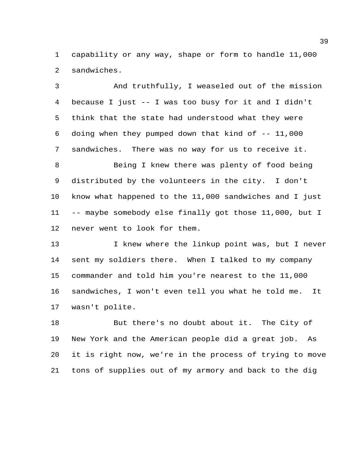capability or any way, shape or form to handle 11,000 sandwiches.

 And truthfully, I weaseled out of the mission because I just -- I was too busy for it and I didn't think that the state had understood what they were doing when they pumped down that kind of -- 11,000 sandwiches. There was no way for us to receive it.

8 Being I knew there was plenty of food being distributed by the volunteers in the city. I don't know what happened to the 11,000 sandwiches and I just -- maybe somebody else finally got those 11,000, but I never went to look for them.

13 I knew where the linkup point was, but I never sent my soldiers there. When I talked to my company commander and told him you're nearest to the 11,000 sandwiches, I won't even tell you what he told me. It wasn't polite.

 But there's no doubt about it. The City of New York and the American people did a great job. As it is right now, we're in the process of trying to move tons of supplies out of my armory and back to the dig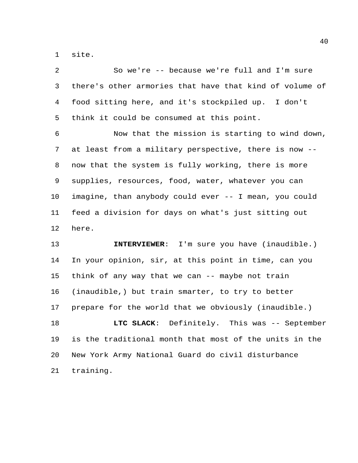site.

| 2  | So we're -- because we're full and I'm sure             |
|----|---------------------------------------------------------|
| 3  | there's other armories that have that kind of volume of |
| 4  | food sitting here, and it's stockpiled up. I don't      |
| 5  | think it could be consumed at this point.               |
| 6  | Now that the mission is starting to wind down,          |
| 7  | at least from a military perspective, there is now --   |
| 8  | now that the system is fully working, there is more     |
| 9  | supplies, resources, food, water, whatever you can      |
| 10 | imagine, than anybody could ever -- I mean, you could   |
| 11 | feed a division for days on what's just sitting out     |
| 12 | here.                                                   |
| 13 | INTERVIEWER: I'm sure you have (inaudible.)             |
| 14 | In your opinion, sir, at this point in time, can you    |
| 15 | think of any way that we can -- maybe not train         |
| 16 | (inaudible,) but train smarter, to try to better        |
| 17 | prepare for the world that we obviously (inaudible.)    |
| 18 | LTC SLACK: Definitely. This was -- September            |
| 19 | is the traditional month that most of the units in the  |
| 20 | New York Army National Guard do civil disturbance       |
| 21 | training.                                               |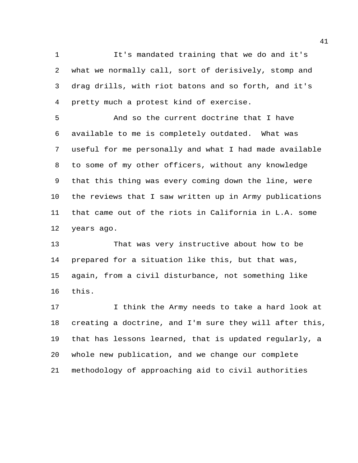It's mandated training that we do and it's what we normally call, sort of derisively, stomp and drag drills, with riot batons and so forth, and it's pretty much a protest kind of exercise.

 And so the current doctrine that I have available to me is completely outdated. What was useful for me personally and what I had made available to some of my other officers, without any knowledge that this thing was every coming down the line, were the reviews that I saw written up in Army publications that came out of the riots in California in L.A. some years ago.

 That was very instructive about how to be prepared for a situation like this, but that was, again, from a civil disturbance, not something like this.

 I think the Army needs to take a hard look at creating a doctrine, and I'm sure they will after this, that has lessons learned, that is updated regularly, a whole new publication, and we change our complete methodology of approaching aid to civil authorities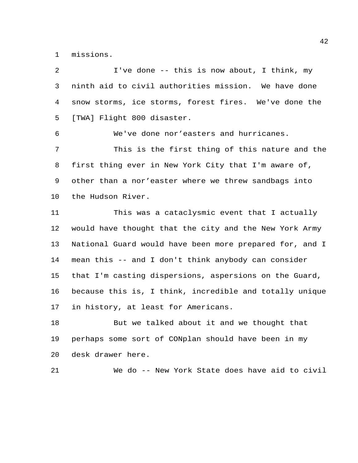missions.

| 2               | I've done -- this is now about, I think, my             |
|-----------------|---------------------------------------------------------|
| 3               | ninth aid to civil authorities mission. We have done    |
| 4               | snow storms, ice storms, forest fires. We've done the   |
| 5               | [TWA] Flight 800 disaster.                              |
| 6               | We've done nor'easters and hurricanes.                  |
| 7               | This is the first thing of this nature and the          |
| 8               | first thing ever in New York City that I'm aware of,    |
| 9               | other than a nor'easter where we threw sandbags into    |
| 10 <sub>o</sub> | the Hudson River.                                       |
| 11              | This was a cataclysmic event that I actually            |
| 12              | would have thought that the city and the New York Army  |
| 13              | National Guard would have been more prepared for, and I |
| 14              | mean this -- and I don't think anybody can consider     |
| 15              | that I'm casting dispersions, aspersions on the Guard,  |
| 16              | because this is, I think, incredible and totally unique |
| 17              | in history, at least for Americans.                     |
| 18              | But we talked about it and we thought that              |
| 19              | perhaps some sort of CONplan should have been in my     |
| 20              | desk drawer here.                                       |
| 21              | We do -- New York State does have aid to civil          |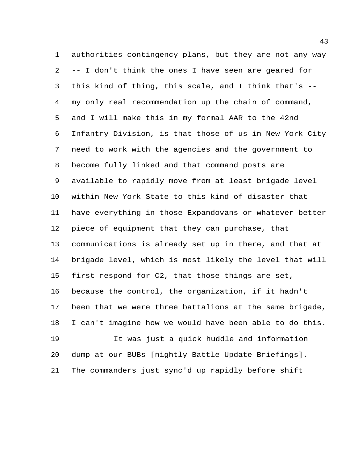authorities contingency plans, but they are not any way -- I don't think the ones I have seen are geared for this kind of thing, this scale, and I think that's -- my only real recommendation up the chain of command, and I will make this in my formal AAR to the 42nd Infantry Division, is that those of us in New York City need to work with the agencies and the government to become fully linked and that command posts are available to rapidly move from at least brigade level within New York State to this kind of disaster that have everything in those Expandovans or whatever better piece of equipment that they can purchase, that communications is already set up in there, and that at brigade level, which is most likely the level that will first respond for C2, that those things are set, because the control, the organization, if it hadn't been that we were three battalions at the same brigade, I can't imagine how we would have been able to do this. It was just a quick huddle and information dump at our BUBs [nightly Battle Update Briefings]. The commanders just sync'd up rapidly before shift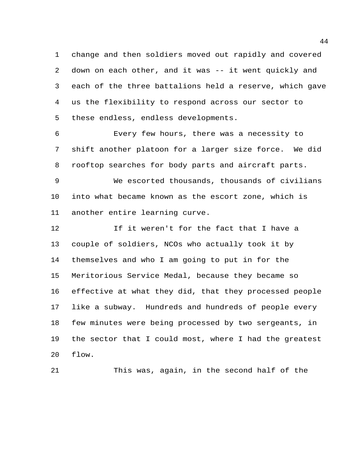change and then soldiers moved out rapidly and covered down on each other, and it was -- it went quickly and each of the three battalions held a reserve, which gave us the flexibility to respond across our sector to these endless, endless developments.

 Every few hours, there was a necessity to shift another platoon for a larger size force. We did rooftop searches for body parts and aircraft parts.

 We escorted thousands, thousands of civilians into what became known as the escort zone, which is another entire learning curve.

12 12 If it weren't for the fact that I have a couple of soldiers, NCOs who actually took it by themselves and who I am going to put in for the Meritorious Service Medal, because they became so effective at what they did, that they processed people like a subway. Hundreds and hundreds of people every few minutes were being processed by two sergeants, in the sector that I could most, where I had the greatest flow.

This was, again, in the second half of the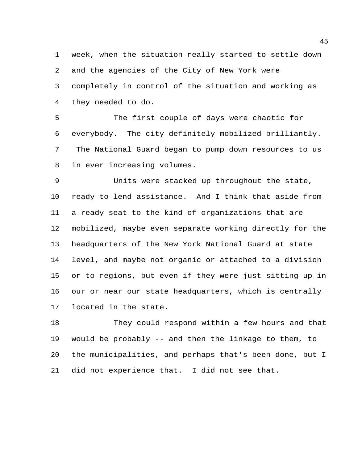week, when the situation really started to settle down and the agencies of the City of New York were completely in control of the situation and working as they needed to do.

 The first couple of days were chaotic for everybody. The city definitely mobilized brilliantly. The National Guard began to pump down resources to us in ever increasing volumes.

 Units were stacked up throughout the state, ready to lend assistance. And I think that aside from a ready seat to the kind of organizations that are mobilized, maybe even separate working directly for the headquarters of the New York National Guard at state level, and maybe not organic or attached to a division or to regions, but even if they were just sitting up in our or near our state headquarters, which is centrally located in the state.

 They could respond within a few hours and that would be probably -- and then the linkage to them, to the municipalities, and perhaps that's been done, but I did not experience that. I did not see that.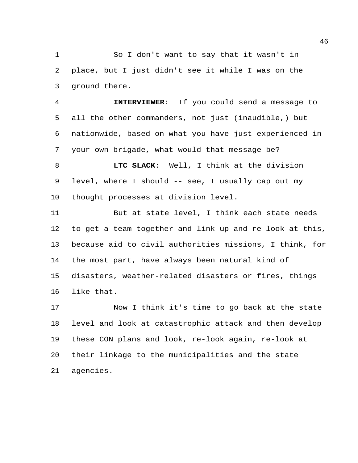So I don't want to say that it wasn't in place, but I just didn't see it while I was on the ground there.

 **INTERVIEWER**: If you could send a message to all the other commanders, not just (inaudible,) but nationwide, based on what you have just experienced in your own brigade, what would that message be?

 **LTC SLACK**: Well, I think at the division level, where I should -- see, I usually cap out my thought processes at division level.

 But at state level, I think each state needs to get a team together and link up and re-look at this, because aid to civil authorities missions, I think, for the most part, have always been natural kind of disasters, weather-related disasters or fires, things like that.

 Now I think it's time to go back at the state level and look at catastrophic attack and then develop these CON plans and look, re-look again, re-look at their linkage to the municipalities and the state agencies.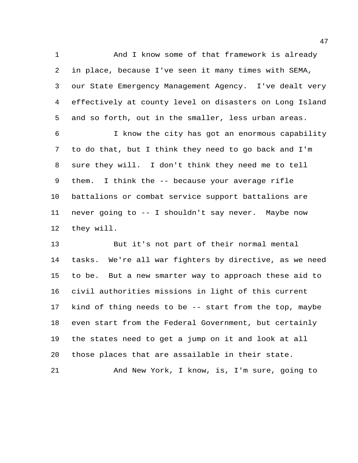1 And I know some of that framework is already in place, because I've seen it many times with SEMA, our State Emergency Management Agency. I've dealt very effectively at county level on disasters on Long Island and so forth, out in the smaller, less urban areas.

 I know the city has got an enormous capability to do that, but I think they need to go back and I'm sure they will. I don't think they need me to tell them. I think the -- because your average rifle battalions or combat service support battalions are never going to -- I shouldn't say never. Maybe now they will.

 But it's not part of their normal mental tasks. We're all war fighters by directive, as we need to be. But a new smarter way to approach these aid to civil authorities missions in light of this current kind of thing needs to be -- start from the top, maybe even start from the Federal Government, but certainly the states need to get a jump on it and look at all those places that are assailable in their state.

And New York, I know, is, I'm sure, going to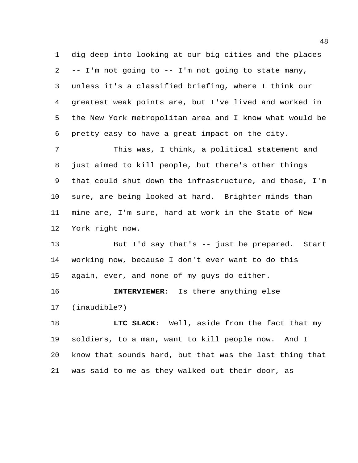dig deep into looking at our big cities and the places -- I'm not going to -- I'm not going to state many, unless it's a classified briefing, where I think our greatest weak points are, but I've lived and worked in the New York metropolitan area and I know what would be pretty easy to have a great impact on the city.

 This was, I think, a political statement and just aimed to kill people, but there's other things that could shut down the infrastructure, and those, I'm sure, are being looked at hard. Brighter minds than mine are, I'm sure, hard at work in the State of New York right now.

 But I'd say that's -- just be prepared. Start working now, because I don't ever want to do this again, ever, and none of my guys do either.

 **INTERVIEWER**: Is there anything else (inaudible?)

**LTC SLACK:** Well, aside from the fact that my soldiers, to a man, want to kill people now. And I know that sounds hard, but that was the last thing that was said to me as they walked out their door, as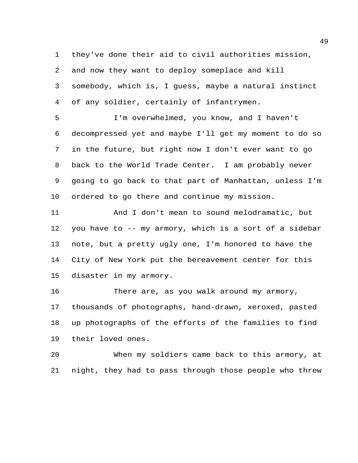they've done their aid to civil authorities mission, and now they want to deploy someplace and kill somebody, which is, I guess, maybe a natural instinct of any soldier, certainly of infantrymen.

 I'm overwhelmed, you know, and I haven't decompressed yet and maybe I'll get my moment to do so in the future, but right now I don't ever want to go back to the World Trade Center. I am probably never going to go back to that part of Manhattan, unless I'm ordered to go there and continue my mission.

 And I don't mean to sound melodramatic, but you have to -- my armory, which is a sort of a sidebar note, but a pretty ugly one, I'm honored to have the City of New York put the bereavement center for this disaster in my armory.

 There are, as you walk around my armory, thousands of photographs, hand-drawn, xeroxed, pasted up photographs of the efforts of the families to find their loved ones.

 When my soldiers came back to this armory, at night, they had to pass through those people who threw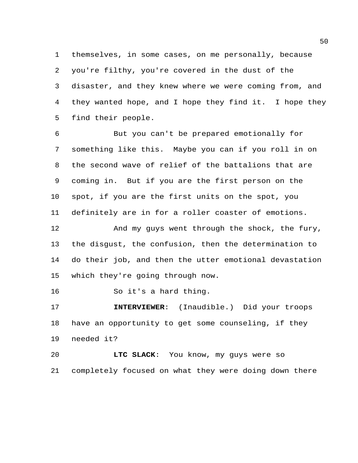themselves, in some cases, on me personally, because you're filthy, you're covered in the dust of the disaster, and they knew where we were coming from, and they wanted hope, and I hope they find it. I hope they find their people.

 But you can't be prepared emotionally for something like this. Maybe you can if you roll in on the second wave of relief of the battalions that are coming in. But if you are the first person on the spot, if you are the first units on the spot, you definitely are in for a roller coaster of emotions.

12 And my guys went through the shock, the fury, the disgust, the confusion, then the determination to do their job, and then the utter emotional devastation which they're going through now.

So it's a hard thing.

 **INTERVIEWER**: (Inaudible.) Did your troops have an opportunity to get some counseling, if they needed it?

 **LTC SLACK**: You know, my guys were so completely focused on what they were doing down there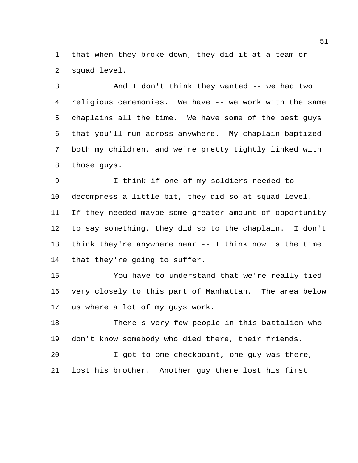that when they broke down, they did it at a team or squad level.

 And I don't think they wanted -- we had two religious ceremonies. We have -- we work with the same chaplains all the time. We have some of the best guys that you'll run across anywhere. My chaplain baptized both my children, and we're pretty tightly linked with those guys.

 I think if one of my soldiers needed to decompress a little bit, they did so at squad level. If they needed maybe some greater amount of opportunity to say something, they did so to the chaplain. I don't think they're anywhere near -- I think now is the time that they're going to suffer.

 You have to understand that we're really tied very closely to this part of Manhattan. The area below us where a lot of my guys work.

 There's very few people in this battalion who don't know somebody who died there, their friends.

 I got to one checkpoint, one guy was there, lost his brother. Another guy there lost his first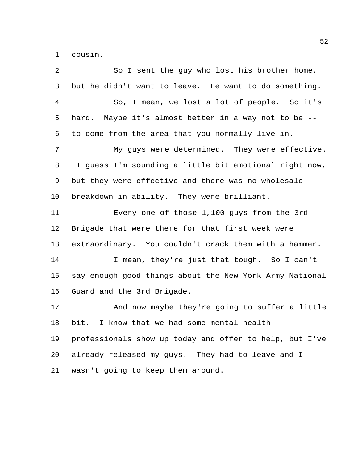cousin.

 So I sent the guy who lost his brother home, but he didn't want to leave. He want to do something. So, I mean, we lost a lot of people. So it's hard. Maybe it's almost better in a way not to be -- to come from the area that you normally live in. My guys were determined. They were effective. I guess I'm sounding a little bit emotional right now, but they were effective and there was no wholesale breakdown in ability. They were brilliant. Every one of those 1,100 guys from the 3rd Brigade that were there for that first week were extraordinary. You couldn't crack them with a hammer. I mean, they're just that tough. So I can't say enough good things about the New York Army National Guard and the 3rd Brigade. And now maybe they're going to suffer a little bit. I know that we had some mental health professionals show up today and offer to help, but I've already released my guys. They had to leave and I wasn't going to keep them around.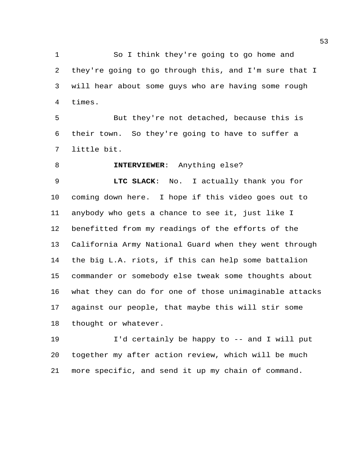So I think they're going to go home and they're going to go through this, and I'm sure that I will hear about some guys who are having some rough times.

 But they're not detached, because this is their town. So they're going to have to suffer a little bit.

**INTERVIEWER**: Anything else?

 **LTC SLACK**: No. I actually thank you for coming down here. I hope if this video goes out to anybody who gets a chance to see it, just like I benefitted from my readings of the efforts of the California Army National Guard when they went through the big L.A. riots, if this can help some battalion commander or somebody else tweak some thoughts about what they can do for one of those unimaginable attacks against our people, that maybe this will stir some thought or whatever.

 I'd certainly be happy to -- and I will put together my after action review, which will be much more specific, and send it up my chain of command.